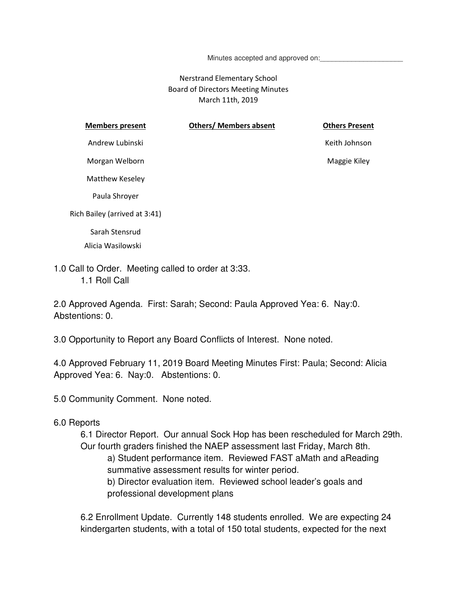Minutes accepted and approved on:

### Nerstrand Elementary School Board of Directors Meeting Minutes March 11th, 2019

| <b>Members present</b>                                                                                                                                                                                                                                                                                                                                                               | <b>Others/ Members absent</b> | <b>Others Present</b> |
|--------------------------------------------------------------------------------------------------------------------------------------------------------------------------------------------------------------------------------------------------------------------------------------------------------------------------------------------------------------------------------------|-------------------------------|-----------------------|
| Andrew Lubinski                                                                                                                                                                                                                                                                                                                                                                      |                               | Keith Johnson         |
| Morgan Welborn                                                                                                                                                                                                                                                                                                                                                                       |                               | Maggie Kiley          |
| Matthew Keseley                                                                                                                                                                                                                                                                                                                                                                      |                               |                       |
| Paula Shroyer                                                                                                                                                                                                                                                                                                                                                                        |                               |                       |
| Rich Bailey (arrived at 3:41)                                                                                                                                                                                                                                                                                                                                                        |                               |                       |
| Sarah Stensrud                                                                                                                                                                                                                                                                                                                                                                       |                               |                       |
| Alicia Wasilowski                                                                                                                                                                                                                                                                                                                                                                    |                               |                       |
| $\overline{a}$ $\overline{a}$ $\overline{a}$ $\overline{a}$ $\overline{a}$ $\overline{a}$ $\overline{a}$ $\overline{a}$ $\overline{a}$ $\overline{a}$ $\overline{a}$ $\overline{a}$ $\overline{a}$ $\overline{a}$ $\overline{a}$ $\overline{a}$ $\overline{a}$ $\overline{a}$ $\overline{a}$ $\overline{a}$ $\overline{a}$ $\overline{a}$ $\overline{a}$ $\overline{a}$ $\overline{$ |                               |                       |

1.0 Call to Order. Meeting called to order at 3:33. 1.1 Roll Call

2.0 Approved Agenda. First: Sarah; Second: Paula Approved Yea: 6. Nay:0. Abstentions: 0.

3.0 Opportunity to Report any Board Conflicts of Interest. None noted.

4.0 Approved February 11, 2019 Board Meeting Minutes First: Paula; Second: Alicia Approved Yea: 6. Nay:0. Abstentions: 0.

5.0 Community Comment. None noted.

#### 6.0 Reports

6.1 Director Report. Our annual Sock Hop has been rescheduled for March 29th. Our fourth graders finished the NAEP assessment last Friday, March 8th. a) Student performance item. Reviewed FAST aMath and aReading summative assessment results for winter period. b) Director evaluation item. Reviewed school leader's goals and professional development plans

6.2 Enrollment Update. Currently 148 students enrolled. We are expecting 24 kindergarten students, with a total of 150 total students, expected for the next